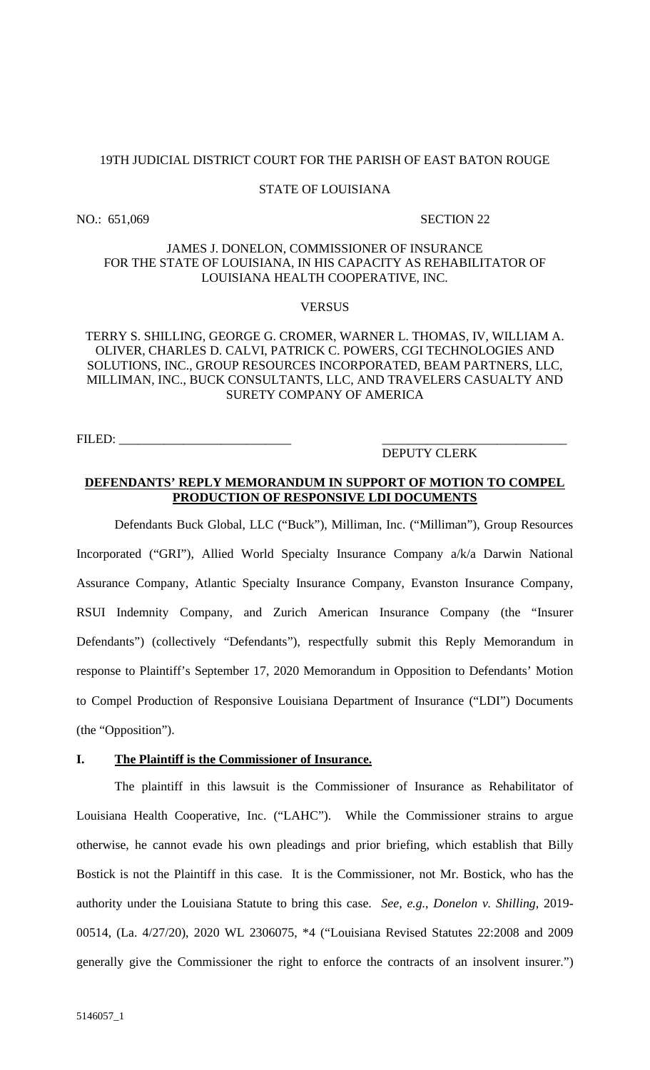#### 19TH JUDICIAL DISTRICT COURT FOR THE PARISH OF EAST BATON ROUGE

#### STATE OF LOUISIANA

NO.: 651,069 SECTION 22

### JAMES J. DONELON, COMMISSIONER OF INSURANCE FOR THE STATE OF LOUISIANA, IN HIS CAPACITY AS REHABILITATOR OF LOUISIANA HEALTH COOPERATIVE, INC.

#### **VERSUS**

## TERRY S. SHILLING, GEORGE G. CROMER, WARNER L. THOMAS, IV, WILLIAM A. OLIVER, CHARLES D. CALVI, PATRICK C. POWERS, CGI TECHNOLOGIES AND SOLUTIONS, INC., GROUP RESOURCES INCORPORATED, BEAM PARTNERS, LLC, MILLIMAN, INC., BUCK CONSULTANTS, LLC, AND TRAVELERS CASUALTY AND SURETY COMPANY OF AMERICA

FILED: \_\_\_\_\_\_\_\_\_\_\_\_\_\_\_\_\_\_\_\_\_\_\_\_\_\_\_ \_\_\_\_\_\_\_\_\_\_\_\_\_\_\_\_\_\_\_\_\_\_\_\_\_\_\_\_\_

### DEPUTY CLERK

### **DEFENDANTS' REPLY MEMORANDUM IN SUPPORT OF MOTION TO COMPEL PRODUCTION OF RESPONSIVE LDI DOCUMENTS**

Defendants Buck Global, LLC ("Buck"), Milliman, Inc. ("Milliman"), Group Resources Incorporated ("GRI"), Allied World Specialty Insurance Company a/k/a Darwin National Assurance Company, Atlantic Specialty Insurance Company, Evanston Insurance Company, RSUI Indemnity Company, and Zurich American Insurance Company (the "Insurer Defendants") (collectively "Defendants"), respectfully submit this Reply Memorandum in response to Plaintiff's September 17, 2020 Memorandum in Opposition to Defendants' Motion to Compel Production of Responsive Louisiana Department of Insurance ("LDI") Documents (the "Opposition").

#### **I. The Plaintiff is the Commissioner of Insurance.**

The plaintiff in this lawsuit is the Commissioner of Insurance as Rehabilitator of Louisiana Health Cooperative, Inc. ("LAHC"). While the Commissioner strains to argue otherwise, he cannot evade his own pleadings and prior briefing, which establish that Billy Bostick is not the Plaintiff in this case. It is the Commissioner, not Mr. Bostick, who has the authority under the Louisiana Statute to bring this case. *See, e.g.*, *Donelon v. Shilling*, 2019- 00514, (La. 4/27/20), 2020 WL 2306075, \*4 ("Louisiana Revised Statutes 22:2008 and 2009 generally give the Commissioner the right to enforce the contracts of an insolvent insurer.")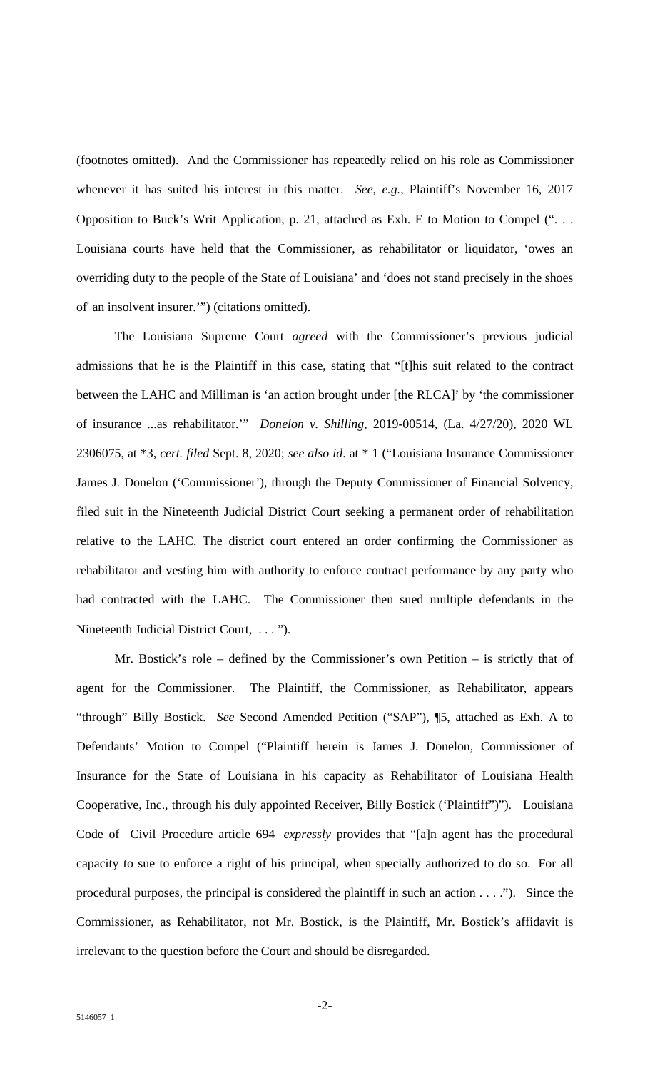(footnotes omitted). And the Commissioner has repeatedly relied on his role as Commissioner whenever it has suited his interest in this matter. *See, e.g.*, Plaintiff's November 16, 2017 Opposition to Buck's Writ Application, p. 21, attached as Exh. E to Motion to Compel (". . . Louisiana courts have held that the Commissioner, as rehabilitator or liquidator, 'owes an overriding duty to the people of the State of Louisiana' and 'does not stand precisely in the shoes of' an insolvent insurer.'") (citations omitted).

The Louisiana Supreme Court *agreed* with the Commissioner's previous judicial admissions that he is the Plaintiff in this case, stating that "[t]his suit related to the contract between the LAHC and Milliman is 'an action brought under [the RLCA]' by 'the commissioner of insurance ...as rehabilitator.'" *Donelon v. Shilling*, 2019-00514, (La. 4/27/20), 2020 WL 2306075, at \*3, *cert. filed* Sept. 8, 2020; *see also id*. at \* 1 ("Louisiana Insurance Commissioner James J. Donelon ('Commissioner'), through the Deputy Commissioner of Financial Solvency, filed suit in the Nineteenth Judicial District Court seeking a permanent order of rehabilitation relative to the LAHC. The district court entered an order confirming the Commissioner as rehabilitator and vesting him with authority to enforce contract performance by any party who had contracted with the LAHC. The Commissioner then sued multiple defendants in the Nineteenth Judicial District Court, . . . ").

Mr. Bostick's role – defined by the Commissioner's own Petition – is strictly that of agent for the Commissioner. The Plaintiff, the Commissioner, as Rehabilitator, appears "through" Billy Bostick. *See* Second Amended Petition ("SAP"), ¶5, attached as Exh. A to Defendants' Motion to Compel ("Plaintiff herein is James J. Donelon, Commissioner of Insurance for the State of Louisiana in his capacity as Rehabilitator of Louisiana Health Cooperative, Inc., through his duly appointed Receiver, Billy Bostick ('Plaintiff")"). Louisiana Code of Civil Procedure article 694 *expressly* provides that "[a]n agent has the procedural capacity to sue to enforce a right of his principal, when specially authorized to do so. For all procedural purposes, the principal is considered the plaintiff in such an action . . . ."). Since the Commissioner, as Rehabilitator, not Mr. Bostick, is the Plaintiff, Mr. Bostick's affidavit is irrelevant to the question before the Court and should be disregarded.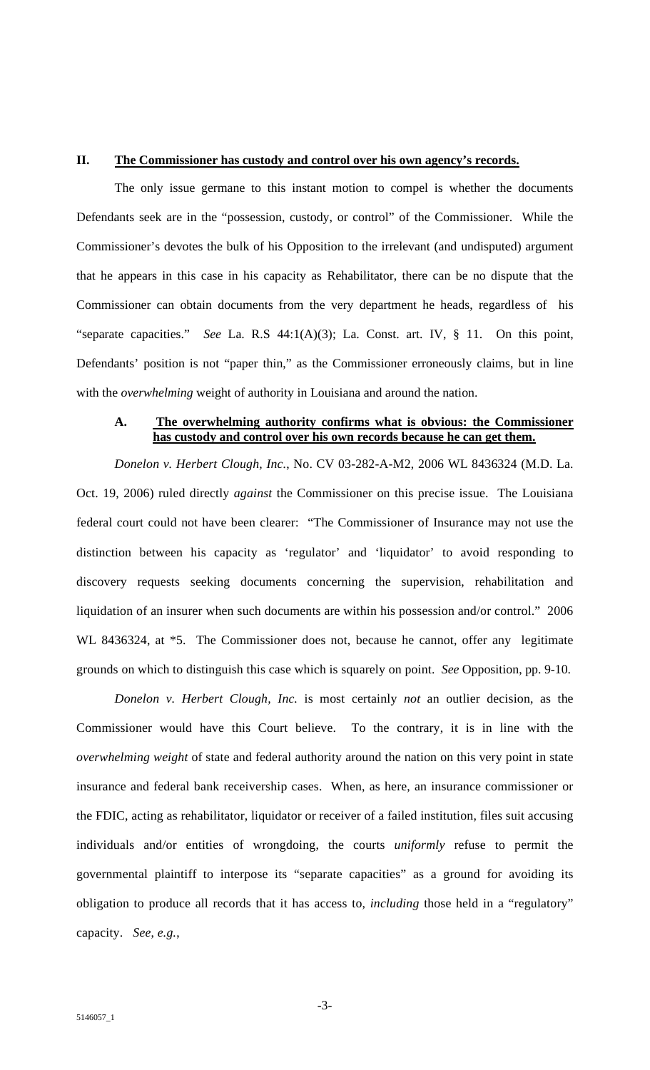#### **II. The Commissioner has custody and control over his own agency's records.**

The only issue germane to this instant motion to compel is whether the documents Defendants seek are in the "possession, custody, or control" of the Commissioner. While the Commissioner's devotes the bulk of his Opposition to the irrelevant (and undisputed) argument that he appears in this case in his capacity as Rehabilitator, there can be no dispute that the Commissioner can obtain documents from the very department he heads, regardless of his "separate capacities." *See* La. R.S 44:1(A)(3); La. Const. art. IV, § 11. On this point, Defendants' position is not "paper thin," as the Commissioner erroneously claims, but in line with the *overwhelming* weight of authority in Louisiana and around the nation.

## **A. The overwhelming authority confirms what is obvious: the Commissioner has custody and control over his own records because he can get them.**

*Donelon v. Herbert Clough, Inc.*, No. CV 03-282-A-M2, 2006 WL 8436324 (M.D. La. Oct. 19, 2006) ruled directly *against* the Commissioner on this precise issue. The Louisiana federal court could not have been clearer: "The Commissioner of Insurance may not use the distinction between his capacity as 'regulator' and 'liquidator' to avoid responding to discovery requests seeking documents concerning the supervision, rehabilitation and liquidation of an insurer when such documents are within his possession and/or control." 2006 WL 8436324, at \*5. The Commissioner does not, because he cannot, offer any legitimate grounds on which to distinguish this case which is squarely on point. *See* Opposition, pp. 9-10.

*Donelon v. Herbert Clough, Inc.* is most certainly *not* an outlier decision, as the Commissioner would have this Court believe. To the contrary, it is in line with the *overwhelming weight* of state and federal authority around the nation on this very point in state insurance and federal bank receivership cases. When, as here, an insurance commissioner or the FDIC, acting as rehabilitator, liquidator or receiver of a failed institution, files suit accusing individuals and/or entities of wrongdoing, the courts *uniformly* refuse to permit the governmental plaintiff to interpose its "separate capacities" as a ground for avoiding its obligation to produce all records that it has access to, *including* those held in a "regulatory" capacity. *See*, *e.g.*,

-3-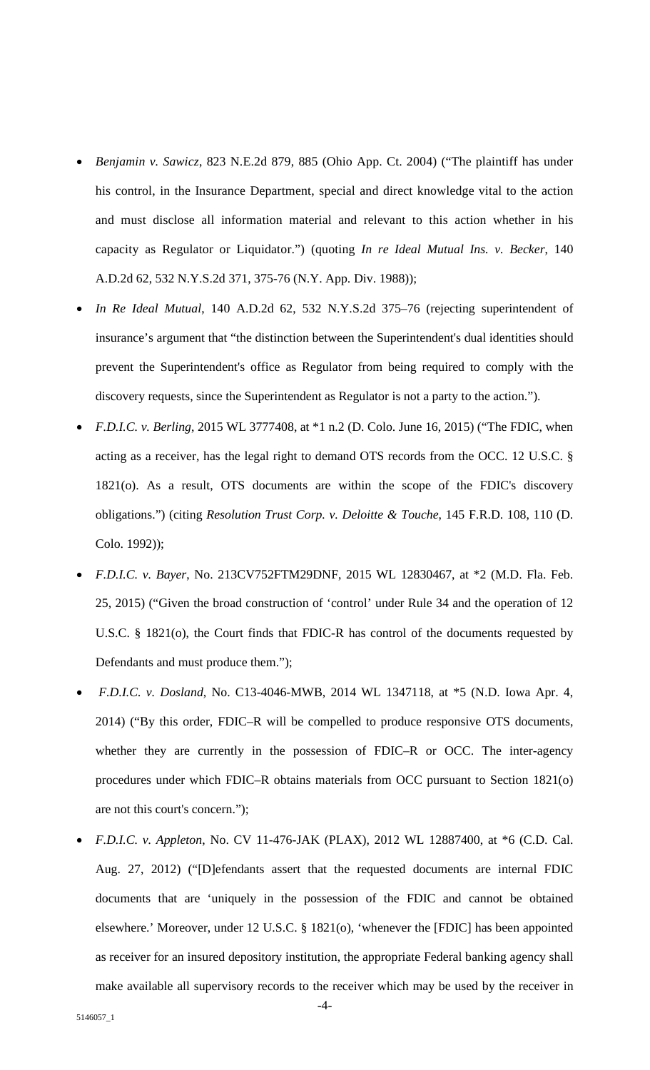- *Benjamin v. Sawicz*, 823 N.E.2d 879, 885 (Ohio App. Ct. 2004) ("The plaintiff has under his control, in the Insurance Department, special and direct knowledge vital to the action and must disclose all information material and relevant to this action whether in his capacity as Regulator or Liquidator.") (quoting *In re Ideal Mutual Ins. v. Becker*, 140 A.D.2d 62, 532 N.Y.S.2d 371, 375-76 (N.Y. App. Div. 1988));
- *In Re Ideal Mutual*, 140 A.D.2d 62, 532 N.Y.S.2d 375–76 (rejecting superintendent of insurance's argument that "the distinction between the Superintendent's dual identities should prevent the Superintendent's office as Regulator from being required to comply with the discovery requests, since the Superintendent as Regulator is not a party to the action.").
- *F.D.I.C. v. Berling*, 2015 WL 3777408, at \*1 n.2 (D. Colo. June 16, 2015) ("The FDIC, when acting as a receiver, has the legal right to demand OTS records from the OCC. 12 U.S.C. § 1821(o). As a result, OTS documents are within the scope of the FDIC's discovery obligations.") (citing *Resolution Trust Corp. v. Deloitte & Touche*, 145 F.R.D. 108, 110 (D. Colo. 1992));
- *F.D.I.C. v. Bayer*, No. 213CV752FTM29DNF, 2015 WL 12830467, at \*2 (M.D. Fla. Feb. 25, 2015) ("Given the broad construction of 'control' under Rule 34 and the operation of 12 U.S.C. § 1821(o), the Court finds that FDIC-R has control of the documents requested by Defendants and must produce them.");
- *F.D.I.C. v. Dosland*, No. C13-4046-MWB, 2014 WL 1347118, at \*5 (N.D. Iowa Apr. 4, 2014) ("By this order, FDIC–R will be compelled to produce responsive OTS documents, whether they are currently in the possession of FDIC–R or OCC. The inter-agency procedures under which FDIC–R obtains materials from OCC pursuant to Section 1821(o) are not this court's concern.");
- *F.D.I.C. v. Appleton*, No. CV 11-476-JAK (PLAX), 2012 WL 12887400, at \*6 (C.D. Cal. Aug. 27, 2012) ("[D]efendants assert that the requested documents are internal FDIC documents that are 'uniquely in the possession of the FDIC and cannot be obtained elsewhere.' Moreover, under 12 U.S.C. § 1821(o), 'whenever the [FDIC] has been appointed as receiver for an insured depository institution, the appropriate Federal banking agency shall make available all supervisory records to the receiver which may be used by the receiver in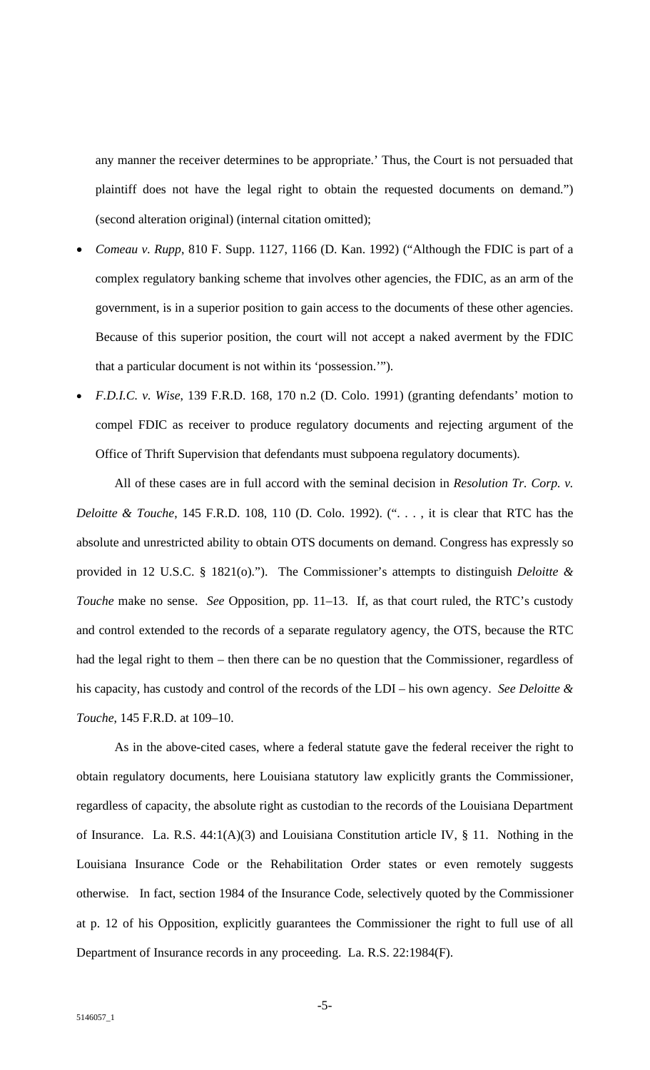any manner the receiver determines to be appropriate.' Thus, the Court is not persuaded that plaintiff does not have the legal right to obtain the requested documents on demand.") (second alteration original) (internal citation omitted);

- *Comeau v. Rupp*, 810 F. Supp. 1127, 1166 (D. Kan. 1992) ("Although the FDIC is part of a complex regulatory banking scheme that involves other agencies, the FDIC, as an arm of the government, is in a superior position to gain access to the documents of these other agencies. Because of this superior position, the court will not accept a naked averment by the FDIC that a particular document is not within its 'possession.'").
- *F.D.I.C. v. Wise*, 139 F.R.D. 168, 170 n.2 (D. Colo. 1991) (granting defendants' motion to compel FDIC as receiver to produce regulatory documents and rejecting argument of the Office of Thrift Supervision that defendants must subpoena regulatory documents).

All of these cases are in full accord with the seminal decision in *Resolution Tr. Corp. v. Deloitte & Touche*, 145 F.R.D. 108, 110 (D. Colo. 1992). (". . . , it is clear that RTC has the absolute and unrestricted ability to obtain OTS documents on demand. Congress has expressly so provided in 12 U.S.C. § 1821(o)."). The Commissioner's attempts to distinguish *Deloitte & Touche* make no sense. *See* Opposition, pp. 11–13. If, as that court ruled, the RTC's custody and control extended to the records of a separate regulatory agency, the OTS, because the RTC had the legal right to them – then there can be no question that the Commissioner, regardless of his capacity, has custody and control of the records of the LDI – his own agency. *See Deloitte & Touche*, 145 F.R.D. at 109–10.

As in the above-cited cases, where a federal statute gave the federal receiver the right to obtain regulatory documents, here Louisiana statutory law explicitly grants the Commissioner, regardless of capacity, the absolute right as custodian to the records of the Louisiana Department of Insurance. La. R.S. 44:1(A)(3) and Louisiana Constitution article IV, § 11. Nothing in the Louisiana Insurance Code or the Rehabilitation Order states or even remotely suggests otherwise. In fact, section 1984 of the Insurance Code, selectively quoted by the Commissioner at p. 12 of his Opposition, explicitly guarantees the Commissioner the right to full use of all Department of Insurance records in any proceeding. La. R.S. 22:1984(F).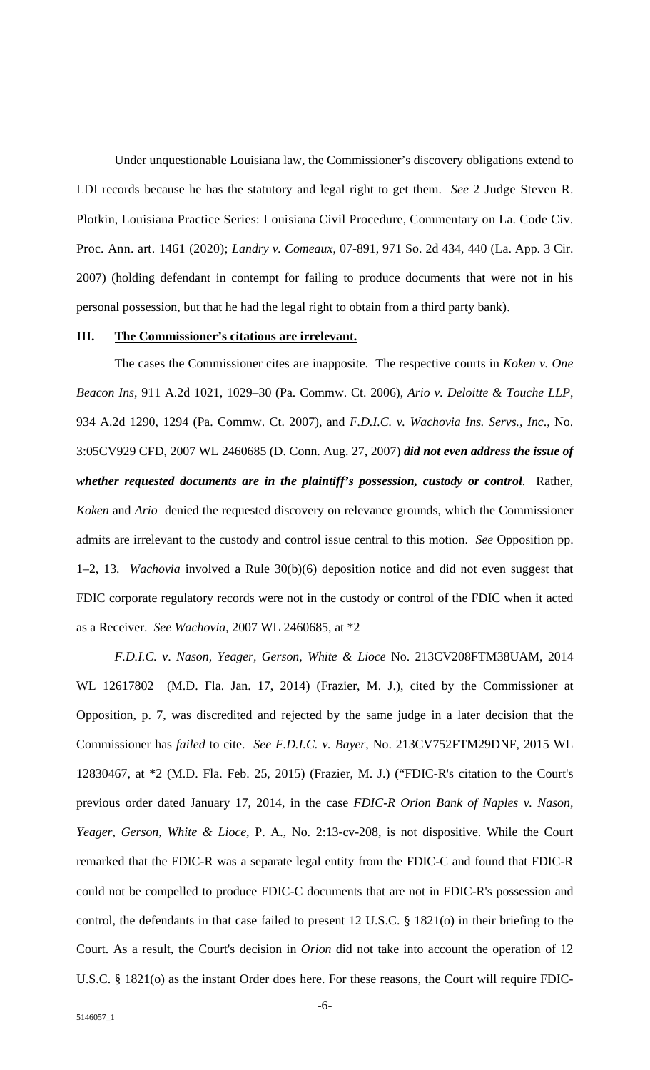Under unquestionable Louisiana law, the Commissioner's discovery obligations extend to LDI records because he has the statutory and legal right to get them. *See* 2 Judge Steven R. Plotkin, Louisiana Practice Series: Louisiana Civil Procedure, Commentary on La. Code Civ. Proc. Ann. art. 1461 (2020); *Landry v. Comeaux*, 07-891, 971 So. 2d 434, 440 (La. App. 3 Cir. 2007) (holding defendant in contempt for failing to produce documents that were not in his personal possession, but that he had the legal right to obtain from a third party bank).

### **III. The Commissioner's citations are irrelevant.**

The cases the Commissioner cites are inapposite. The respective courts in *Koken v. One Beacon Ins*, 911 A.2d 1021, 1029–30 (Pa. Commw. Ct. 2006), *Ario v. Deloitte & Touche LLP*, 934 A.2d 1290, 1294 (Pa. Commw. Ct. 2007), and *F.D.I.C. v. Wachovia Ins. Servs., Inc*., No. 3:05CV929 CFD, 2007 WL 2460685 (D. Conn. Aug. 27, 2007) *did not even address the issue of whether requested documents are in the plaintiff's possession, custody or control*. Rather, *Koken* and *Ario* denied the requested discovery on relevance grounds, which the Commissioner admits are irrelevant to the custody and control issue central to this motion. *See* Opposition pp. 1–2, 13. *Wachovia* involved a Rule 30(b)(6) deposition notice and did not even suggest that FDIC corporate regulatory records were not in the custody or control of the FDIC when it acted as a Receiver. *See Wachovia*, 2007 WL 2460685, at \*2

*F.D.I.C. v*. *Nason, Yeager, Gerson, White & Lioce* No. 213CV208FTM38UAM, 2014 WL 12617802 (M.D. Fla. Jan. 17, 2014) (Frazier, M. J.), cited by the Commissioner at Opposition, p. 7, was discredited and rejected by the same judge in a later decision that the Commissioner has *failed* to cite. *See F.D.I.C. v. Bayer*, No. 213CV752FTM29DNF, 2015 WL 12830467, at \*2 (M.D. Fla. Feb. 25, 2015) (Frazier, M. J.) ("FDIC-R's citation to the Court's previous order dated January 17, 2014, in the case *FDIC-R Orion Bank of Naples v. Nason, Yeager, Gerson, White & Lioce*, P. A., No. 2:13-cv-208, is not dispositive. While the Court remarked that the FDIC-R was a separate legal entity from the FDIC-C and found that FDIC-R could not be compelled to produce FDIC-C documents that are not in FDIC-R's possession and control, the defendants in that case failed to present 12 U.S.C. § 1821(o) in their briefing to the Court. As a result, the Court's decision in *Orion* did not take into account the operation of 12 U.S.C. § 1821(o) as the instant Order does here. For these reasons, the Court will require FDIC-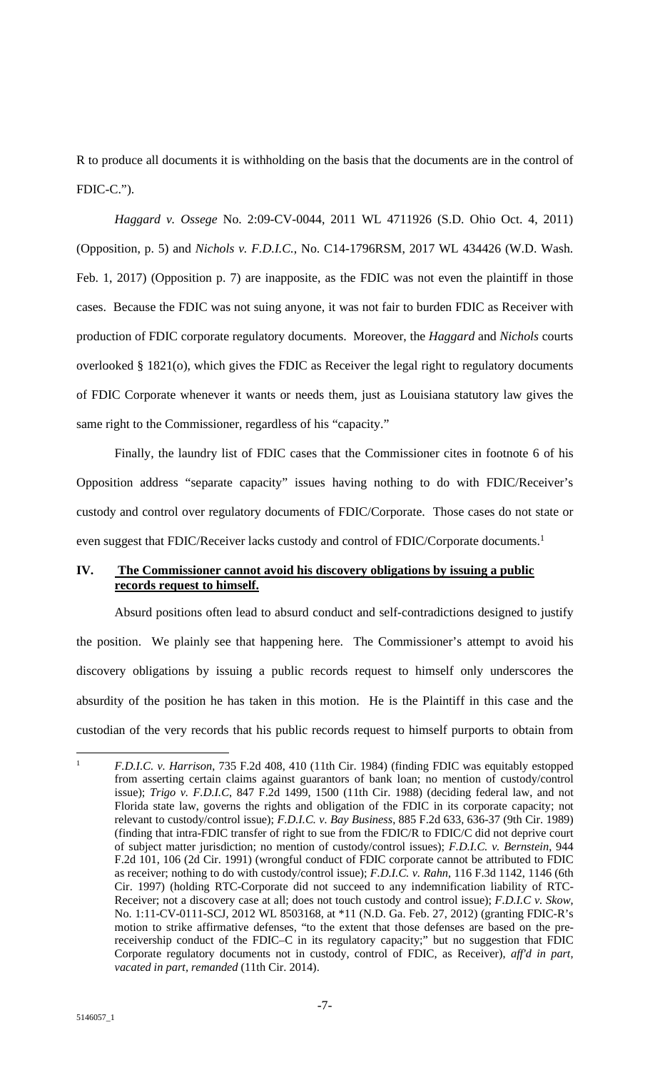R to produce all documents it is withholding on the basis that the documents are in the control of FDIC-C.").

*Haggard v. Ossege* No. 2:09-CV-0044, 2011 WL 4711926 (S.D. Ohio Oct. 4, 2011) (Opposition, p. 5) and *Nichols v. F.D.I.C.*, No. C14-1796RSM, 2017 WL 434426 (W.D. Wash. Feb. 1, 2017) (Opposition p. 7) are inapposite, as the FDIC was not even the plaintiff in those cases. Because the FDIC was not suing anyone, it was not fair to burden FDIC as Receiver with production of FDIC corporate regulatory documents. Moreover, the *Haggard* and *Nichols* courts overlooked § 1821(o), which gives the FDIC as Receiver the legal right to regulatory documents of FDIC Corporate whenever it wants or needs them, just as Louisiana statutory law gives the same right to the Commissioner, regardless of his "capacity."

Finally, the laundry list of FDIC cases that the Commissioner cites in footnote 6 of his Opposition address "separate capacity" issues having nothing to do with FDIC/Receiver's custody and control over regulatory documents of FDIC/Corporate. Those cases do not state or even suggest that FDIC/Receiver lacks custody and control of FDIC/Corporate documents.<sup>1</sup>

## **IV. The Commissioner cannot avoid his discovery obligations by issuing a public records request to himself.**

Absurd positions often lead to absurd conduct and self-contradictions designed to justify the position. We plainly see that happening here. The Commissioner's attempt to avoid his discovery obligations by issuing a public records request to himself only underscores the absurdity of the position he has taken in this motion. He is the Plaintiff in this case and the custodian of the very records that his public records request to himself purports to obtain from

<sup>1</sup> *F.D.I.C. v. Harrison*, 735 F.2d 408, 410 (11th Cir. 1984) (finding FDIC was equitably estopped from asserting certain claims against guarantors of bank loan; no mention of custody/control issue); *Trigo v. F.D.I.C*, 847 F.2d 1499, 1500 (11th Cir. 1988) (deciding federal law, and not Florida state law, governs the rights and obligation of the FDIC in its corporate capacity; not relevant to custody/control issue); *F.D.I.C. v. Bay Business*, 885 F.2d 633, 636-37 (9th Cir. 1989) (finding that intra-FDIC transfer of right to sue from the FDIC/R to FDIC/C did not deprive court of subject matter jurisdiction; no mention of custody/control issues); *F.D.I.C. v. Bernstein*, 944 F.2d 101, 106 (2d Cir. 1991) (wrongful conduct of FDIC corporate cannot be attributed to FDIC as receiver; nothing to do with custody/control issue); *F.D.I.C. v. Rahn*, 116 F.3d 1142, 1146 (6th Cir. 1997) (holding RTC-Corporate did not succeed to any indemnification liability of RTC-Receiver; not a discovery case at all; does not touch custody and control issue); *F.D.I.C v. Skow*, No. 1:11-CV-0111-SCJ, 2012 WL 8503168, at \*11 (N.D. Ga. Feb. 27, 2012) (granting FDIC-R's motion to strike affirmative defenses, "to the extent that those defenses are based on the prereceivership conduct of the FDIC–C in its regulatory capacity;" but no suggestion that FDIC Corporate regulatory documents not in custody, control of FDIC, as Receiver), *aff'd in part, vacated in part, remanded* (11th Cir. 2014).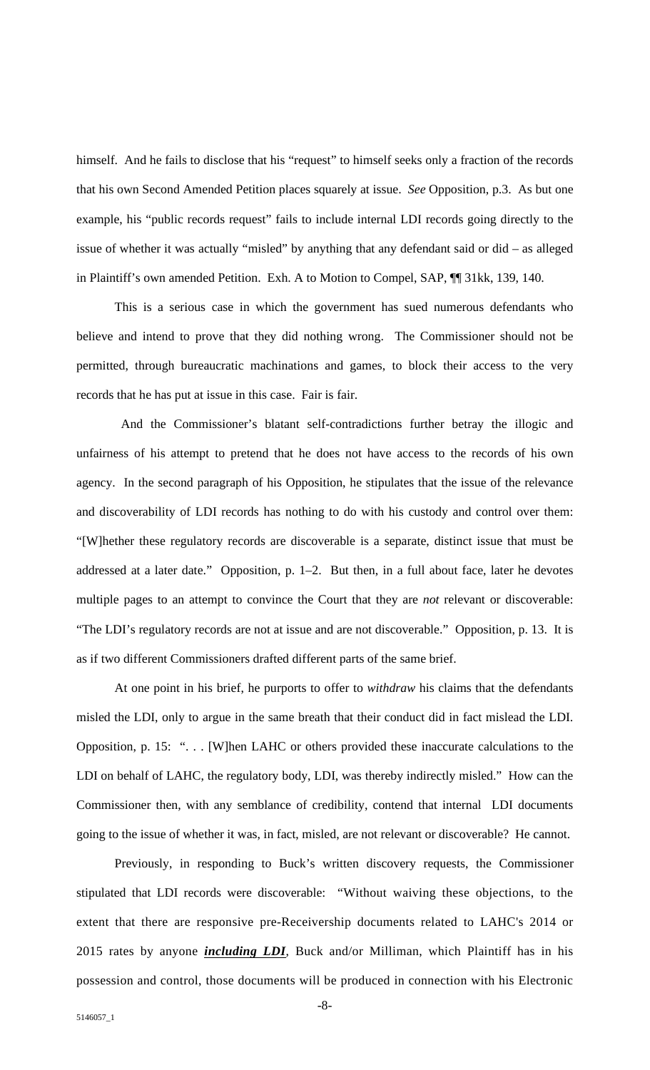himself. And he fails to disclose that his "request" to himself seeks only a fraction of the records that his own Second Amended Petition places squarely at issue. *See* Opposition, p.3. As but one example, his "public records request" fails to include internal LDI records going directly to the issue of whether it was actually "misled" by anything that any defendant said or did – as alleged in Plaintiff's own amended Petition. Exh. A to Motion to Compel, SAP, ¶¶ 31kk, 139, 140.

This is a serious case in which the government has sued numerous defendants who believe and intend to prove that they did nothing wrong. The Commissioner should not be permitted, through bureaucratic machinations and games, to block their access to the very records that he has put at issue in this case. Fair is fair.

 And the Commissioner's blatant self-contradictions further betray the illogic and unfairness of his attempt to pretend that he does not have access to the records of his own agency. In the second paragraph of his Opposition, he stipulates that the issue of the relevance and discoverability of LDI records has nothing to do with his custody and control over them: "[W]hether these regulatory records are discoverable is a separate, distinct issue that must be addressed at a later date." Opposition, p. 1–2. But then, in a full about face, later he devotes multiple pages to an attempt to convince the Court that they are *not* relevant or discoverable: "The LDI's regulatory records are not at issue and are not discoverable." Opposition, p. 13. It is as if two different Commissioners drafted different parts of the same brief.

At one point in his brief, he purports to offer to *withdraw* his claims that the defendants misled the LDI, only to argue in the same breath that their conduct did in fact mislead the LDI. Opposition, p. 15: ". . . [W]hen LAHC or others provided these inaccurate calculations to the LDI on behalf of LAHC, the regulatory body, LDI, was thereby indirectly misled." How can the Commissioner then, with any semblance of credibility, contend that internal LDI documents going to the issue of whether it was, in fact, misled, are not relevant or discoverable? He cannot.

Previously, in responding to Buck's written discovery requests, the Commissioner stipulated that LDI records were discoverable: "Without waiving these objections, to the extent that there are responsive pre-Receivership documents related to LAHC's 2014 or 2015 rates by anyone *including LDI*, Buck and/or Milliman, which Plaintiff has in his possession and control, those documents will be produced in connection with his Electronic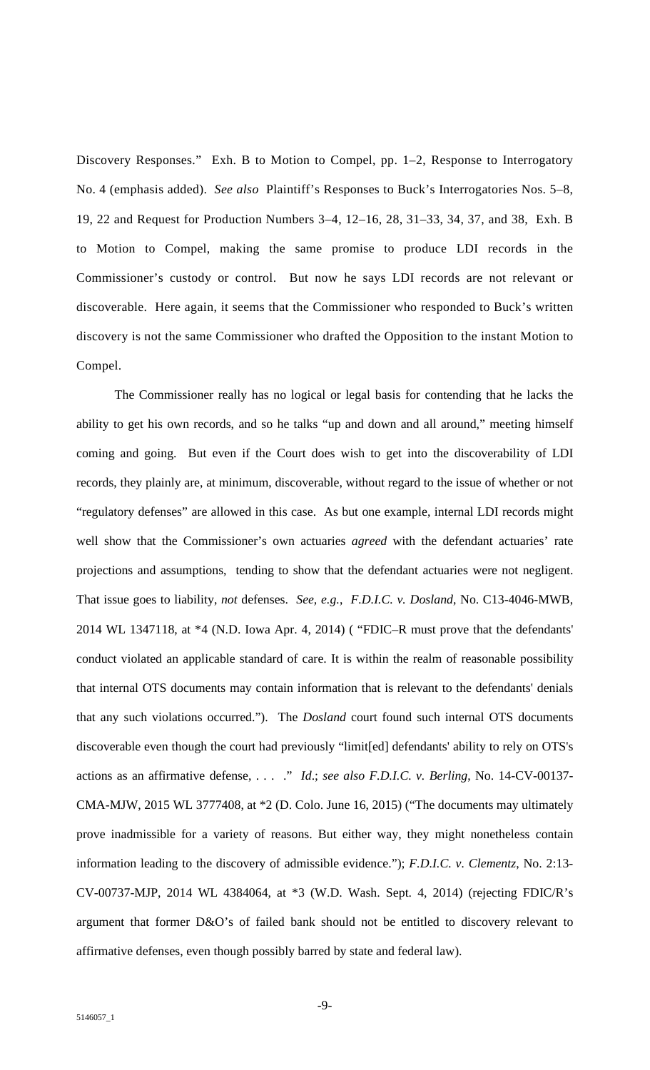Discovery Responses." Exh. B to Motion to Compel, pp. 1–2, Response to Interrogatory No. 4 (emphasis added). *See also* Plaintiff's Responses to Buck's Interrogatories Nos. 5–8, 19, 22 and Request for Production Numbers 3–4, 12–16, 28, 31–33, 34, 37, and 38, Exh. B to Motion to Compel, making the same promise to produce LDI records in the Commissioner's custody or control. But now he says LDI records are not relevant or discoverable. Here again, it seems that the Commissioner who responded to Buck's written discovery is not the same Commissioner who drafted the Opposition to the instant Motion to Compel.

The Commissioner really has no logical or legal basis for contending that he lacks the ability to get his own records, and so he talks "up and down and all around," meeting himself coming and going. But even if the Court does wish to get into the discoverability of LDI records, they plainly are, at minimum, discoverable, without regard to the issue of whether or not "regulatory defenses" are allowed in this case. As but one example, internal LDI records might well show that the Commissioner's own actuaries *agreed* with the defendant actuaries' rate projections and assumptions, tending to show that the defendant actuaries were not negligent. That issue goes to liability, *not* defenses. *See, e.g.*, *F.D.I.C. v. Dosland*, No. C13-4046-MWB, 2014 WL 1347118, at \*4 (N.D. Iowa Apr. 4, 2014) ( "FDIC–R must prove that the defendants' conduct violated an applicable standard of care. It is within the realm of reasonable possibility that internal OTS documents may contain information that is relevant to the defendants' denials that any such violations occurred."). The *Dosland* court found such internal OTS documents discoverable even though the court had previously "limit[ed] defendants' ability to rely on OTS's actions as an affirmative defense, . . . ." *Id*.; *see also F.D.I.C. v. Berling*, No. 14-CV-00137- CMA-MJW, 2015 WL 3777408, at \*2 (D. Colo. June 16, 2015) ("The documents may ultimately prove inadmissible for a variety of reasons. But either way, they might nonetheless contain information leading to the discovery of admissible evidence."); *F.D.I.C. v. Clementz*, No. 2:13- CV-00737-MJP, 2014 WL 4384064, at \*3 (W.D. Wash. Sept. 4, 2014) (rejecting FDIC/R's argument that former D&O's of failed bank should not be entitled to discovery relevant to affirmative defenses, even though possibly barred by state and federal law).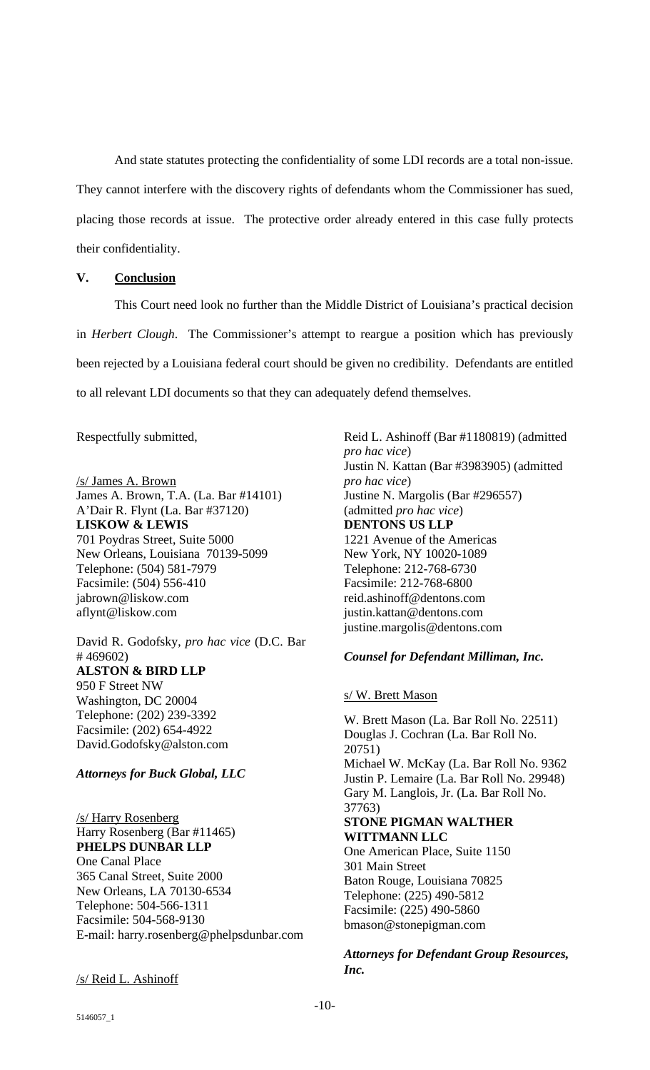And state statutes protecting the confidentiality of some LDI records are a total non-issue. They cannot interfere with the discovery rights of defendants whom the Commissioner has sued, placing those records at issue. The protective order already entered in this case fully protects their confidentiality.

#### **V. Conclusion**

This Court need look no further than the Middle District of Louisiana's practical decision in *Herbert Clough*. The Commissioner's attempt to reargue a position which has previously been rejected by a Louisiana federal court should be given no credibility. Defendants are entitled to all relevant LDI documents so that they can adequately defend themselves.

Respectfully submitted,

/s/ James A. Brown James A. Brown, T.A. (La. Bar #14101) A'Dair R. Flynt (La. Bar #37120) **LISKOW & LEWIS**  701 Poydras Street, Suite 5000 New Orleans, Louisiana 70139-5099 Telephone: (504) 581-7979 Facsimile: (504) 556-410 jabrown@liskow.com aflynt@liskow.com

David R. Godofsky, *pro hac vice* (D.C. Bar # 469602) **ALSTON & BIRD LLP**  950 F Street NW Washington, DC 20004 Telephone: (202) 239-3392 Facsimile: (202) 654-4922 David.Godofsky@alston.com

## *Attorneys for Buck Global, LLC*

/s/ Harry Rosenberg Harry Rosenberg (Bar #11465) **PHELPS DUNBAR LLP**  One Canal Place 365 Canal Street, Suite 2000 New Orleans, LA 70130-6534 Telephone: 504-566-1311 Facsimile: 504-568-9130 E-mail: harry.rosenberg@phelpsdunbar.com

/s/ Reid L. Ashinoff

Reid L. Ashinoff (Bar #1180819) (admitted *pro hac vice*) Justin N. Kattan (Bar #3983905) (admitted *pro hac vice*) Justine N. Margolis (Bar #296557) (admitted *pro hac vice*) **DENTONS US LLP**  1221 Avenue of the Americas New York, NY 10020-1089 Telephone: 212-768-6730 Facsimile: 212-768-6800 reid.ashinoff@dentons.com justin.kattan@dentons.com justine.margolis@dentons.com

## *Counsel for Defendant Milliman, Inc.*

## s/ W. Brett Mason

W. Brett Mason (La. Bar Roll No. 22511) Douglas J. Cochran (La. Bar Roll No. 20751) Michael W. McKay (La. Bar Roll No. 9362 Justin P. Lemaire (La. Bar Roll No. 29948) Gary M. Langlois, Jr. (La. Bar Roll No. 37763) **STONE PIGMAN WALTHER WITTMANN LLC**  One American Place, Suite 1150 301 Main Street Baton Rouge, Louisiana 70825 Telephone: (225) 490-5812 Facsimile: (225) 490-5860 bmason@stonepigman.com

*Attorneys for Defendant Group Resources, Inc.*